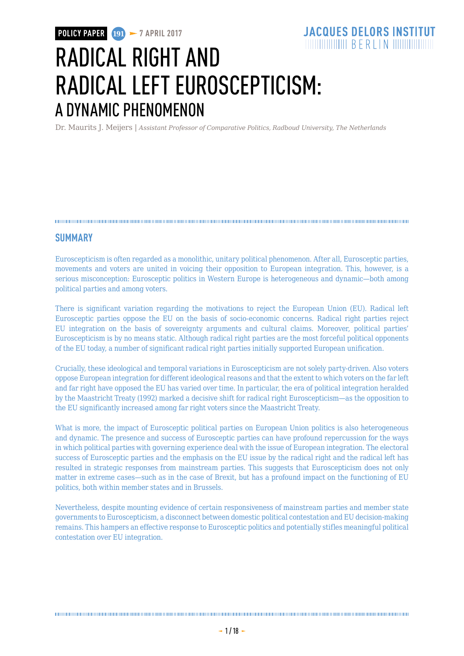Dr. Maurits J. Meijers | *Assistant Professor of Comparative Politics, Radboud University, The Netherlands*

#### 

### **SUMMARY**

Euroscepticism is often regarded as a monolithic, unitary political phenomenon. After all, Eurosceptic parties, movements and voters are united in voicing their opposition to European integration. This, however, is a serious misconception: Eurosceptic politics in Western Europe is heterogeneous and dynamic—both among political parties and among voters.

There is significant variation regarding the motivations to reject the European Union (EU). Radical left Eurosceptic parties oppose the EU on the basis of socio-economic concerns. Radical right parties reject EU integration on the basis of sovereignty arguments and cultural claims. Moreover, political parties' Euroscepticism is by no means static. Although radical right parties are the most forceful political opponents of the EU today, a number of significant radical right parties initially supported European unification.

Crucially, these ideological and temporal variations in Euroscepticism are not solely party-driven. Also voters oppose European integration for different ideological reasons and that the extent to which voters on the far left and far right have opposed the EU has varied over time. In particular, the era of political integration heralded by the Maastricht Treaty (1992) marked a decisive shift for radical right Euroscepticism—as the opposition to the EU significantly increased among far right voters since the Maastricht Treaty.

What is more, the impact of Eurosceptic political parties on European Union politics is also heterogeneous and dynamic. The presence and success of Eurosceptic parties can have profound repercussion for the ways in which political parties with governing experience deal with the issue of European integration. The electoral success of Eurosceptic parties and the emphasis on the EU issue by the radical right and the radical left has resulted in strategic responses from mainstream parties. This suggests that Euroscepticism does not only matter in extreme cases—such as in the case of Brexit, but has a profound impact on the functioning of EU politics, both within member states and in Brussels.

Nevertheless, despite mounting evidence of certain responsiveness of mainstream parties and member state governments to Euroscepticism, a disconnect between domestic political contestation and EU decision-making remains. This hampers an effective response to Eurosceptic politics and potentially stifles meaningful political contestation over EU integration.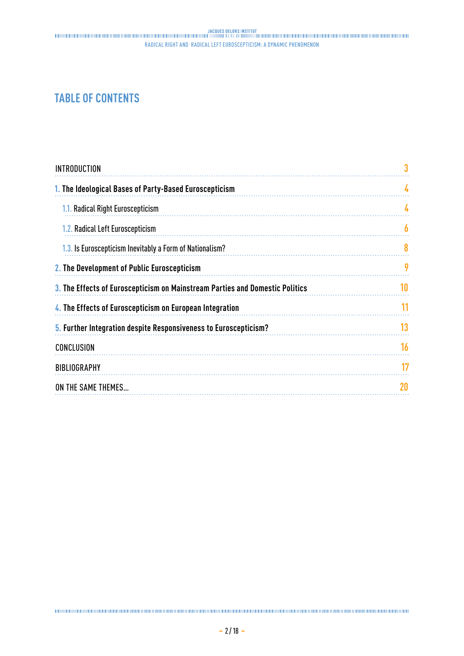# **TABLE OF CONTENTS**

| A  |
|----|
| 4  |
| 6  |
| 8  |
| 9  |
| 10 |
| 11 |
| 13 |
| 16 |
| 17 |
| 20 |
|    |

####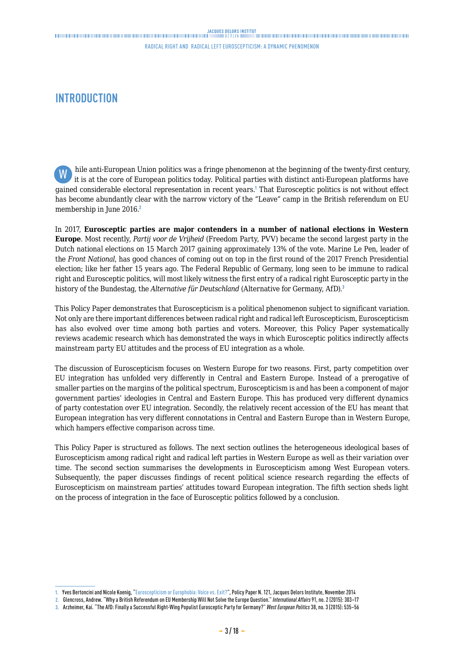## <span id="page-2-0"></span>**INTRODUCTION**

hile anti-European Union politics was a fringe phenomenon at the beginning of the twenty-first century, it is at the core of European politics today. Political parties with distinct anti-European platforms have gained considerable electoral representation in recent years.<sup>1</sup> That Eurosceptic politics is not without effect has become abundantly clear with the narrow victory of the "Leave" camp in the British referendum on EU membership in June 2016.<sup>2</sup> W

In 2017, **Eurosceptic parties are major contenders in a number of national elections in Western Europe**. Most recently, *Partij voor de Vrijheid* (Freedom Party, PVV) became the second largest party in the Dutch national elections on 15 March 2017 gaining approximately 13% of the vote. Marine Le Pen, leader of the *Front National*, has good chances of coming out on top in the first round of the 2017 French Presidential election; like her father 15 years ago. The Federal Republic of Germany, long seen to be immune to radical right and Eurosceptic politics, will most likely witness the first entry of a radical right Eurosceptic party in the history of the Bundestag, the *Alternative für Deutschland* (Alternative for Germany, AfD).<sup>3</sup>

This Policy Paper demonstrates that Euroscepticism is a political phenomenon subject to significant variation. Not only are there important differences between radical right and radical left Euroscepticism, Euroscepticism has also evolved over time among both parties and voters. Moreover, this Policy Paper systematically reviews academic research which has demonstrated the ways in which Eurosceptic politics indirectly affects mainstream party EU attitudes and the process of EU integration as a whole.

The discussion of Euroscepticism focuses on Western Europe for two reasons. First, party competition over EU integration has unfolded very differently in Central and Eastern Europe. Instead of a prerogative of smaller parties on the margins of the political spectrum, Euroscepticism is and has been a component of major government parties' ideologies in Central and Eastern Europe. This has produced very different dynamics of party contestation over EU integration. Secondly, the relatively recent accession of the EU has meant that European integration has very different connotations in Central and Eastern Europe than in Western Europe, which hampers effective comparison across time.

This Policy Paper is structured as follows. The next section outlines the heterogeneous ideological bases of Euroscepticism among radical right and radical left parties in Western Europe as well as their variation over time. The second section summarises the developments in Euroscepticism among West European voters. Subsequently, the paper discusses findings of recent political science research regarding the effects of Euroscepticism on mainstream parties' attitudes toward European integration. The fifth section sheds light on the process of integration in the face of Eurosceptic politics followed by a conclusion.

**<sup>1.</sup>** Yves Bertoncini and Nicole Koenig, "[Euroscepticism or Europhobia: Voice vs. Exit?"](http://www.institutdelors.eu/media/euroscepticismoreurophobia-bertoncini-koenig-ne-jdi-nov14.pdf?pdf=ok), Policy Paper N. 121, Jacques Delors Institute, November 2014

**<sup>2.</sup>** Glencross, Andrew. "Why a British Referendum on EU Membership Will Not Solve the Europe Question." *International Affairs* 91, no. 2 (2015): 303–17

**<sup>3.</sup>** Arzheimer, Kai. "The AfD: Finally a Successful Right-Wing Populist Eurosceptic Party for Germany?" *West European Politics* 38, no. 3 (2015): 535–56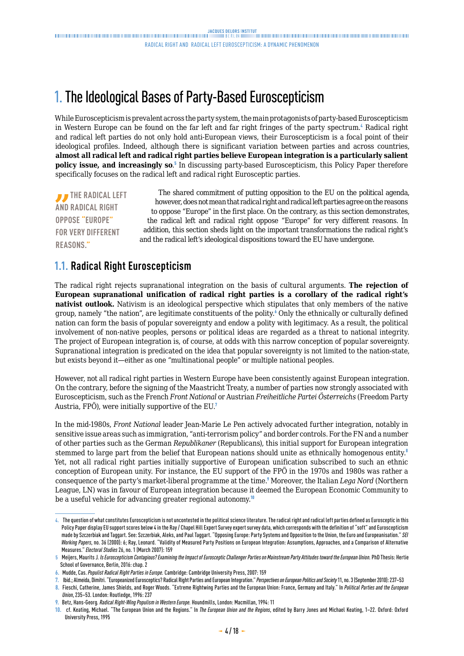# <span id="page-3-0"></span>1. The Ideological Bases of Party-Based Euroscepticism

While Euroscepticism is prevalent across the party system, the main protagonists of party-based Euroscepticism in Western Europe can be found on the far left and far right fringes of the party spectrum.<sup>4</sup> Radical right and radical left parties do not only hold anti-European views, their Euroscepticism is a focal point of their ideological profiles. Indeed, although there is significant variation between parties and across countries, **almost all radical left and radical right parties believe European integration is a particularly salient policy issue, and increasingly so**. 5 In discussing party-based Euroscepticism, this Policy Paper therefore specifically focuses on the radical left and radical right Eurosceptic parties.

**THE RADICAL LEFT AND RADICAL RIGHT OPPOSE "EUROPE" FOR VERY DIFFERENT REASONS."**

The shared commitment of putting opposition to the EU on the political agenda, however, does not mean that radical right and radical left parties agree on the reasons to oppose "Europe" in the first place. On the contrary, as this section demonstrates, the radical left and radical right oppose "Europe" for very different reasons. In addition, this section sheds light on the important transformations the radical right's and the radical left's ideological dispositions toward the EU have undergone.

## **1.1. Radical Right Euroscepticism**

The radical right rejects supranational integration on the basis of cultural arguments. **The rejection of European supranational unification of radical right parties is a corollary of the radical right's nativist outlook.** Nativism is an ideological perspective which stipulates that only members of the native group, namely "the nation", are legitimate constituents of the polity.<sup>6</sup> Only the ethnically or culturally defined nation can form the basis of popular sovereignty and endow a polity with legitimacy. As a result, the political involvement of non-native peoples, persons or political ideas are regarded as a threat to national integrity. The project of European integration is, of course, at odds with this narrow conception of popular sovereignty. Supranational integration is predicated on the idea that popular sovereignty is not limited to the nation-state, but exists beyond it—either as one "multinational people" or multiple national peoples.

However, not all radical right parties in Western Europe have been consistently against European integration. On the contrary, before the signing of the Maastricht Treaty, a number of parties now strongly associated with Euroscepticism, such as the French *Front National* or Austrian *Freiheitliche Partei Österreichs* (Freedom Party Austria, FPÖ), were initially supportive of the EU.<sup>7</sup>

In the mid-1980s, *Front National* leader Jean-Marie Le Pen actively advocated further integration, notably in sensitive issue areas such as immigration, "anti-terrorism policy" and border controls. For the FN and a number of other parties such as the German *Republikaner* (Republicans), this initial support for European integration stemmed to large part from the belief that European nations should unite as ethnically homogenous entity.<sup>8</sup> Yet, not all radical right parties initially supportive of European unification subscribed to such an ethnic conception of European unity. For instance, the EU support of the FPÖ in the 1970s and 1980s was rather a consequence of the party's market-liberal programme at the time.<sup>9</sup> Moreover, the Italian *Lega Nord* (Northern League, LN) was in favour of European integration because it deemed the European Economic Community to be a useful vehicle for advancing greater regional autonomy.<sup>10</sup>

**<sup>4.</sup>** The question of what constitutes Euroscepticism is not uncontested in the political science literature. The radical right and radical left parties defined as Eurosceptic in this Policy Paper display EU support scores below 4 in the Ray / Chapel Hill Expert Survey expert survey data, which corresponds with the definition of "soft" and Euroscepticism made by Szczerbiak and Taggart. See: Szczerbiak, Aleks, and Paul Taggart. "Opposing Europe: Party Systems and Opposition to the Union, the Euro and Europeanisation." *SEI Working Papers*, no. 36 (2000): 6; Ray, Leonard. "Validity of Measured Party Positions on European Integration: Assumptions, Approaches, and a Comparison of Alternative Measures." *Electoral Studies* 26, no. 1 (March 2007): 159

**<sup>5</sup>** Meijers, Maurits J*. Is Euroscepticism Contagious? Examining the Impact of Eurosceptic Challenger Parties on Mainstream Party Attitudes toward the European Union.* PhD Thesis: Hertie School of Governance, Berlin, 2016: chap. 2

**<sup>6.</sup>** Mudde, Cas. *Populist Radical Right Parties in Europe.* Cambridge: Cambridge University Press, 2007: 159

**<sup>7.</sup>** Ibid.; Almeida, Dimitri. "Europeanized Eurosceptics? Radical Right Parties and European Integration." *Perspectives on European Politics and Society* 11, no. 3 (September 2010): 237–53

**<sup>8.</sup>** Fieschi, Catherine, James Shields, and Roger Woods. "Extreme Rightwing Parties and the European Union: France, Germany and Italy." In *Political Parties and the European Union*, 235–53. London: Routledge, 1996: 237

**<sup>9.</sup>** Betz, Hans-Georg*. Radical Right-Wing Populism in Western Europe.* Houndmills, London: Macmillan, 1994: 11

**<sup>10.</sup>** cf. Keating, Michael. "The European Union and the Regions." In *The European Union and the Regions*, edited by Barry Jones and Michael Keating, 1–22. Oxford: Oxford University Press, 1995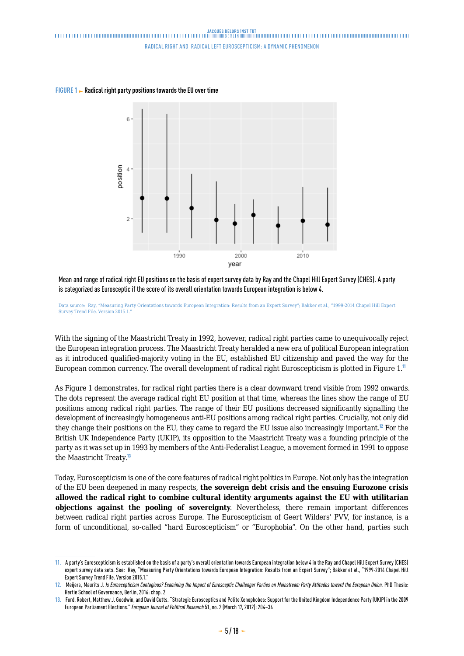

**FIGURE 1 Radical right party positions towards the EU over time**

Mean and range of radical right EU positions on the basis of expert survey data by Ray and the Chapel Hill Expert Survey (CHES). A party is categorized as Eurosceptic if the score of its overall orientation towards European integration is below 4.

Data source: Ray, "Measuring Party Orientations towards European Integration: Results from an Expert Survey"; Bakker et al., "1999-2014 Chapel Hill Expert Survey Trend File. Version 2015.1.

With the signing of the Maastricht Treaty in 1992, however, radical right parties came to unequivocally reject the European integration process. The Maastricht Treaty heralded a new era of political European integration as it introduced qualified-majority voting in the EU, established EU citizenship and paved the way for the European common currency. The overall development of radical right Euroscepticism is plotted in Figure 1.<sup>11</sup>

As Figure 1 demonstrates, for radical right parties there is a clear downward trend visible from 1992 onwards. The dots represent the average radical right EU position at that time, whereas the lines show the range of EU positions among radical right parties. The range of their EU positions decreased significantly signalling the development of increasingly homogeneous anti-EU positions among radical right parties. Crucially, not only did they change their positions on the EU, they came to regard the EU issue also increasingly important.<sup>12</sup> For the British UK Independence Party (UKIP), its opposition to the Maastricht Treaty was a founding principle of the party as it was set up in 1993 by members of the Anti-Federalist League, a movement formed in 1991 to oppose the Maastricht Treaty.<sup>13</sup>

Today, Euroscepticism is one of the core features of radical right politics in Europe. Not only has the integration of the EU been deepened in many respects, **the sovereign debt crisis and the ensuing Eurozone crisis allowed the radical right to combine cultural identity arguments against the EU with utilitarian objections against the pooling of sovereignty**. Nevertheless, there remain important differences between radical right parties across Europe. The Euroscepticism of Geert Wilders' PVV, for instance, is a form of unconditional, so-called "hard Euroscepticism" or "Europhobia". On the other hand, parties such

**<sup>11.</sup>** A party's Euroscepticism is established on the basis of a party's overall orientation towards European integration below 4 in the Ray and Chapel Hill Expert Survey (CHES) expert survey data sets. See: Ray, "Measuring Party Orientations towards European Integration: Results from an Expert Survey"; Bakker et al., "1999-2014 Chapel Hill Expert Survey Trend File. Version 2015.1."

**<sup>12.</sup>** Meijers, Maurits J*. Is Euroscepticism Contagious? Examining the Impact of Eurosceptic Challenger Parties on Mainstream Party Attitudes toward the European Union.* PhD Thesis: Hertie School of Governance, Berlin, 2016: chap. 2

**<sup>13.</sup>** Ford, Robert, Matthew J. Goodwin, and David Cutts. "Strategic Eurosceptics and Polite Xenophobes: Support for the United Kingdom Independence Party (UKIP) in the 2009 European Parliament Elections." *European Journal of Political Research* 51, no. 2 (March 17, 2012): 204–34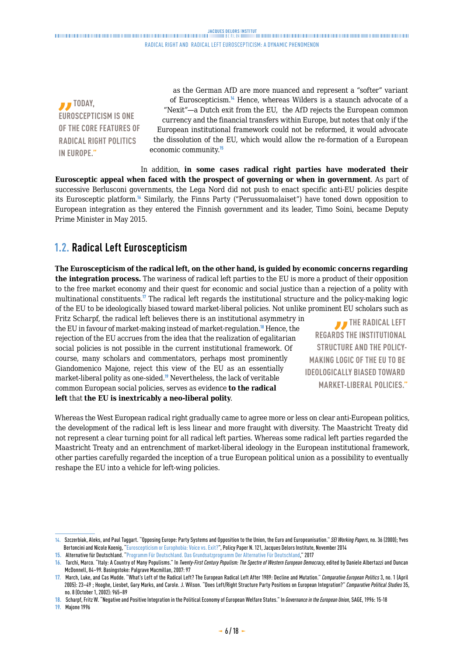<span id="page-5-0"></span>*I* TODAY, **EUROSCEPTICISM IS ONE OF THE CORE FEATURES OF RADICAL RIGHT POLITICS IN EUROPE."**

as the German AfD are more nuanced and represent a "softer" variant of Euroscepticism.<sup>14</sup> Hence, whereas Wilders is a staunch advocate of a "Nexit"—a Dutch exit from the EU, the AfD rejects the European common currency and the financial transfers within Europe, but notes that only if the European institutional framework could not be reformed, it would advocate the dissolution of the EU, which would allow the re-formation of a European economic community.<sup>15</sup>

In addition, **in some cases radical right parties have moderated their Eurosceptic appeal when faced with the prospect of governing or when in government**. As part of successive Berlusconi governments, the Lega Nord did not push to enact specific anti-EU policies despite its Eurosceptic platform.<sup>16</sup> Similarly, the Finns Party ("Perussuomalaiset") have toned down opposition to European integration as they entered the Finnish government and its leader, Timo Soini, became Deputy Prime Minister in May 2015.

# **1.2. Radical Left Euroscepticism**

**The Euroscepticism of the radical left, on the other hand, is guided by economic concerns regarding the integration process.** The wariness of radical left parties to the EU is more a product of their opposition to the free market economy and their quest for economic and social justice than a rejection of a polity with multinational constituents.<sup>17</sup> The radical left regards the institutional structure and the policy-making logic of the EU to be ideologically biased toward market-liberal policies. Not unlike prominent EU scholars such as

Fritz Scharpf, the radical left believes there is an institutional asymmetry in the EU in favour of market-making instead of market-regulation.<sup>18</sup> Hence, the rejection of the EU accrues from the idea that the realization of egalitarian social policies is not possible in the current institutional framework. Of course, many scholars and commentators, perhaps most prominently Giandomenico Majone, reject this view of the EU as an essentially market-liberal polity as one-sided.<sup>19</sup> Nevertheless, the lack of veritable common European social policies, serves as evidence **to the radical left** that **the EU is inextricably a neo-liberal polity**.

**THE RADICAL LEFT REGARDS THE INSTITUTIONAL STRUCTURE AND THE POLICY-MAKING LOGIC OF THE EU TO BE IDEOLOGICALLY BIASED TOWARD MARKET-LIBERAL POLICIES."**

Whereas the West European radical right gradually came to agree more or less on clear anti-European politics, the development of the radical left is less linear and more fraught with diversity. The Maastricht Treaty did not represent a clear turning point for all radical left parties. Whereas some radical left parties regarded the Maastricht Treaty and an entrenchment of market-liberal ideology in the European institutional framework, other parties carefully regarded the inception of a true European political union as a possibility to eventually reshape the EU into a vehicle for left-wing policies.

**19.** Majone 1996

**<sup>14.</sup>** Szczerbiak, Aleks, and Paul Taggart. "Opposing Europe: Party Systems and Opposition to the Union, the Euro and Europeanisation." *SEI Working Papers*, no. 36 (2000); Yves Bertoncini and Nicole Koenig, ["Euroscepticism or Europhobia: Voice vs. Exit?](http://www.institutdelors.eu/media/euroscepticismoreurophobia-bertoncini-koenig-ne-jdi-nov14.pdf?pdf=ok)", Policy Paper N. 121, Jacques Delors Institute, November 2014

**<sup>15.</sup>** Alternative für Deutschland. ["Programm Für Deutschland. Das Grundsatzprogramm Der Alternative Für Deutschland](https://www.alternativefuer.de/wp-content/uploads/sites/111/2017/01/2016-06-27_afd-grundsatzprogramm_web-version.pdf.)," 2017

**<sup>16.</sup>** Tarchi, Marco. "Italy: A Country of Many Populisms." In *Twenty-First Century Populism: The Spectre of Western European Democracy*, edited by Daniele Albertazzi and Duncan McDonnell, 84–99. Basingstoke: Palgrave Macmillan, 2007: 97

**<sup>17.</sup>** March, Luke, and Cas Mudde. "What's Left of the Radical Left? The European Radical Left After 1989: Decline and Mutation." *Comparative European Politics* 3, no. 1 (April 2005): 23–49 ; Hooghe, Liesbet, Gary Marks, and Carole. J. Wilson. "Does Left/Right Structure Party Positions on European Integration?" *Comparative Political Studies* 35, no. 8 (October 1, 2002): 965–89

**<sup>18.</sup>** Scharpf, Fritz W. "Negative and Positive Integration in the Political Economy of European Welfare States." In *Governance in the European Union,* SAGE, 1996: 15-18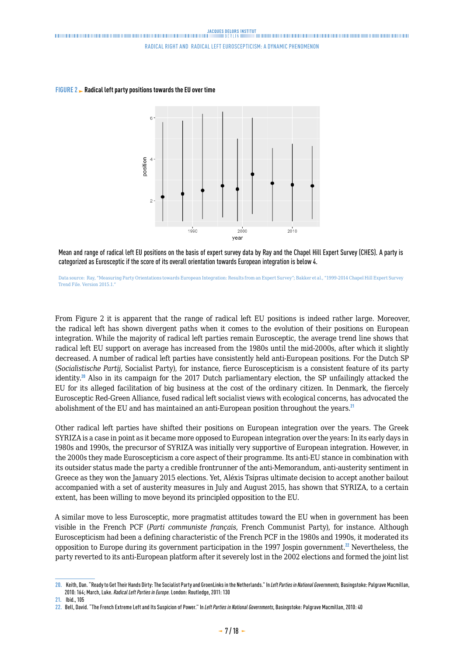



Mean and range of radical left EU positions on the basis of expert survey data by Ray and the Chapel Hill Expert Survey (CHES). A party is categorized as Eurosceptic if the score of its overall orientation towards European integration is below 4.

Data source: Ray, "Measuring Party Orientations towards European Integration: Results from an Expert Survey"; Bakker et al., "1999-2014 Chapel Hill Expert Survey Trend File. Version 2015.1."

From Figure 2 it is apparent that the range of radical left EU positions is indeed rather large. Moreover, the radical left has shown divergent paths when it comes to the evolution of their positions on European integration. While the majority of radical left parties remain Eurosceptic, the average trend line shows that radical left EU support on average has increased from the 1980s until the mid-2000s, after which it slightly decreased. A number of radical left parties have consistently held anti-European positions. For the Dutch SP (*Socialistische Partij*, Socialist Party), for instance, fierce Euroscepticism is a consistent feature of its party identity.<sup>20</sup> Also in its campaign for the 2017 Dutch parliamentary election, the SP unfailingly attacked the EU for its alleged facilitation of big business at the cost of the ordinary citizen. In Denmark, the fiercely Eurosceptic Red-Green Alliance, fused radical left socialist views with ecological concerns, has advocated the abolishment of the EU and has maintained an anti-European position throughout the years.<sup>21</sup>

Other radical left parties have shifted their positions on European integration over the years. The Greek SYRIZA is a case in point as it became more opposed to European integration over the years: In its early days in 1980s and 1990s, the precursor of SYRIZA was initially very supportive of European integration. However, in the 2000s they made Euroscepticism a core aspect of their programme. Its anti-EU stance in combination with its outsider status made the party a credible frontrunner of the anti-Memorandum, anti-austerity sentiment in Greece as they won the January 2015 elections. Yet, Aléxis Tsípras ultimate decision to accept another bailout accompanied with a set of austerity measures in July and August 2015, has shown that SYRIZA, to a certain extent, has been willing to move beyond its principled opposition to the EU.

A similar move to less Eurosceptic, more pragmatist attitudes toward the EU when in government has been visible in the French PCF (*Parti communiste français*, French Communist Party), for instance. Although Euroscepticism had been a defining characteristic of the French PCF in the 1980s and 1990s, it moderated its opposition to Europe during its government participation in the 1997 Jospin government.<sup>22</sup> Nevertheless, the party reverted to its anti-European platform after it severely lost in the 2002 elections and formed the joint list

**<sup>20.</sup>** Keith, Dan. "Ready to Get Their Hands Dirty: The Socialist Party and GroenLinks in the Netherlands." In *Left Parties in National Governments,* Basingstoke: Palgrave Macmillan, 2010: 164; March, Luke. *Radical Left Parties in Europe.* London: Routledge, 2011: 130

**<sup>21.</sup>** Ibid., 105

**<sup>22.</sup>** Bell, David. "The French Extreme Left and Its Suspicion of Power." In *Left Parties in National Governments*, Basingstoke: Palgrave Macmillan, 2010: 40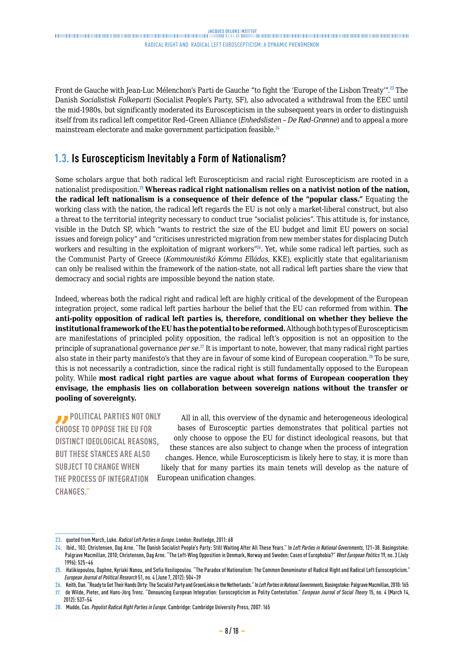<span id="page-7-0"></span>Front de Gauche with Jean-Luc Mélenchon's Parti de Gauche "to fight the 'Europe of the Lisbon Treaty'".<sup>23</sup> The Danish *Socialistisk Folkeparti* (Socialist People's Party, SF), also advocated a withdrawal from the EEC until the mid-1980s, but significantly moderated its Euroscepticism in the subsequent years in order to distinguish itself from its radical left competitor Red–Green Alliance (*Enhedslisten – De Rød-Grønne*) and to appeal a more mainstream electorate and make government participation feasible.<sup>24</sup>

## **1.3. Is Euroscepticism Inevitably a Form of Nationalism?**

Some scholars argue that both radical left Euroscepticism and racial right Euroscepticism are rooted in a nationalist predisposition.<sup>25</sup> **Whereas radical right nationalism relies on a nativist notion of the nation, the radical left nationalism is a consequence of their defence of the "popular class."** Equating the working class with the nation, the radical left regards the EU is not only a market-liberal construct, but also a threat to the territorial integrity necessary to conduct true "socialist policies". This attitude is, for instance, visible in the Dutch SP, which "wants to restrict the size of the EU budget and limit EU powers on social issues and foreign policy" and "criticises unrestricted migration from new member states for displacing Dutch workers and resulting in the exploitation of migrant workers"<sup>26</sup>. Yet, while some radical left parties, such as the Communist Party of Greece (*Kommounistikó Kómma Elládas*, KKE), explicitly state that egalitarianism can only be realised within the framework of the nation-state, not all radical left parties share the view that democracy and social rights are impossible beyond the nation state.

Indeed, whereas both the radical right and radical left are highly critical of the development of the European integration project, some radical left parties harbour the belief that the EU can reformed from within. **The anti-polity opposition of radical left parties is, therefore, conditional on whether they believe the institutional framework of the EU has the potential to be reformed.** Although both types of Euroscepticism are manifestations of principled polity opposition, the radical left's opposition is not an opposition to the principle of supranational governance *per se*. <sup>27</sup> It is important to note, however, that many radical right parties also state in their party manifesto's that they are in favour of some kind of European cooperation.<sup>28</sup> To be sure, this is not necessarily a contradiction, since the radical right is still fundamentally opposed to the European polity. While **most radical right parties are vague about what forms of European cooperation they envisage, the emphasis lies on collaboration between sovereign nations without the transfer or pooling of sovereignty.**

*<b>POLITICAL PARTIES NOT ONLY* **CHOOSE TO OPPOSE THE EU FOR DISTINCT IDEOLOGICAL REASONS, BUT THESE STANCES ARE ALSO SUBJECT TO CHANGE WHEN THE PROCESS OF INTEGRATION CHANGES."**

All in all, this overview of the dynamic and heterogeneous ideological bases of Eurosceptic parties demonstrates that political parties not only choose to oppose the EU for distinct ideological reasons, but that these stances are also subject to change when the process of integration changes. Hence, while Euroscepticism is likely here to stay, it is more than likely that for many parties its main tenets will develop as the nature of European unification changes.

**<sup>23.</sup>** quoted from March, Luke*. Radical Left Parties in Europe.* London: Routledge, 2011: 68

**<sup>24.</sup>** Ibid., 103; Christensen, Dag Arne. "The Danish Socialist People's Party: Still Waiting After All These Years." In *Left Parties in National Governments*, 121–38. Basingstoke: Palgrave Macmillan, 2010; Christensen, Dag Arne. "The Left-Wing Opposition in Denmark, Norway and Sweden: Cases of Europhobia?" *West European Politics* 19, no. 3 (July 1996): 525–46

**<sup>25.</sup>** Halikiopoulou, Daphne, Kyriaki Nanou, and Sofia Vasilopoulou. "The Paradox of Nationalism: The Common Denominator of Radical Right and Radical Left Euroscepticism." *European Journal of Political Research* 51, no. 4 (June 7, 2012): 504–39

**<sup>26.</sup>** Keith, Dan. "Ready to Get Their Hands Dirty: The Socialist Party and GroenLinks in the Netherlands." In *Left Parties in National Governments,* Basingstoke: Palgrave Macmillan, 2010: 165

**<sup>27.</sup>** de Wilde, Pieter, and Hans-Jörg Trenz. "Denouncing European Integration: Euroscepticism as Polity Contestation." *European Journal of Social Theory* 15, no. 4 (March 14, 2012): 537–54

**<sup>28.</sup>** Mudde, Cas. *Populist Radical Right Parties in Europe*. Cambridge: Cambridge University Press, 2007: 165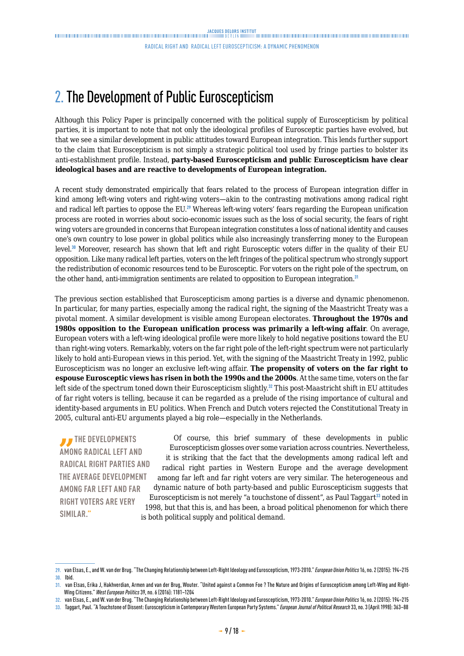# <span id="page-8-0"></span>2. The Development of Public Euroscepticism

Although this Policy Paper is principally concerned with the political supply of Euroscepticism by political parties, it is important to note that not only the ideological profiles of Eurosceptic parties have evolved, but that we see a similar development in public attitudes toward European integration. This lends further support to the claim that Euroscepticism is not simply a strategic political tool used by fringe parties to bolster its anti-establishment profile. Instead, **party-based Euroscepticism and public Euroscepticism have clear ideological bases and are reactive to developments of European integration.**

A recent study demonstrated empirically that fears related to the process of European integration differ in kind among left-wing voters and right-wing voters—akin to the contrasting motivations among radical right and radical left parties to oppose the EU.<sup>29</sup> Whereas left-wing voters' fears regarding the European unification process are rooted in worries about socio-economic issues such as the loss of social security, the fears of right wing voters are grounded in concerns that European integration constitutes a loss of national identity and causes one's own country to lose power in global politics while also increasingly transferring money to the European level.<sup>30</sup> Moreover, research has shown that left and right Eurosceptic voters differ in the quality of their EU opposition. Like many radical left parties, voters on the left fringes of the political spectrum who strongly support the redistribution of economic resources tend to be Eurosceptic. For voters on the right pole of the spectrum, on the other hand, anti-immigration sentiments are related to opposition to European integration.<sup>31</sup>

The previous section established that Euroscepticism among parties is a diverse and dynamic phenomenon. In particular, for many parties, especially among the radical right, the signing of the Maastricht Treaty was a pivotal moment. A similar development is visible among European electorates. **Throughout the 1970s and 1980s opposition to the European unification process was primarily a left-wing affair**. On average, European voters with a left-wing ideological profile were more likely to hold negative positions toward the EU than right-wing voters. Remarkably, voters on the far right pole of the left-right spectrum were not particularly likely to hold anti-European views in this period. Yet, with the signing of the Maastricht Treaty in 1992, public Euroscepticism was no longer an exclusive left-wing affair. **The propensity of voters on the far right to espouse Eurosceptic views has risen in both the 1990s and the 2000s**. At the same time, voters on the far left side of the spectrum toned down their Euroscepticism slightly.<sup>32</sup> This post-Maastricht shift in EU attitudes of far right voters is telling, because it can be regarded as a prelude of the rising importance of cultural and identity-based arguments in EU politics. When French and Dutch voters rejected the Constitutional Treaty in 2005, cultural anti-EU arguments played a big role—especially in the Netherlands.

*I* THE DEVELOPMENTS **AMONG RADICAL LEFT AND RADICAL RIGHT PARTIES AND THE AVERAGE DEVELOPMENT AMONG FAR LEFT AND FAR RIGHT VOTERS ARE VERY SIMILAR."**

Of course, this brief summary of these developments in public Euroscepticism glosses over some variation across countries. Nevertheless, it is striking that the fact that the developments among radical left and radical right parties in Western Europe and the average development among far left and far right voters are very similar. The heterogeneous and dynamic nature of both party-based and public Euroscepticism suggests that Euroscepticism is not merely "a touchstone of dissent", as Paul Taggart<sup>33</sup> noted in 1998, but that this is, and has been, a broad political phenomenon for which there is both political supply and political demand.

**<sup>29.</sup>** van Elsas, E., and W. van der Brug. "The Changing Relationship between Left-Right Ideology and Euroscepticism, 1973-2010." *European Union Politics* 16, no. 2 (2015): 194–215 **30.** Ibid.

**<sup>31.</sup>** van Elsas, Erika J, Hakhverdian, Armen and van der Brug, Wouter. "United against a Common Foe ? The Nature and Origins of Euroscepticism among Left-Wing and Right-Wing Citizens." *West European Politics* 39, no. 6 (2016): 1181–1204

**<sup>32.</sup>** van Elsas, E., and W. van der Brug. "The Changing Relationship between Left-Right Ideology and Euroscepticism, 1973-2010." *European Union Politics* 16, no. 2 (2015): 194–215

**<sup>33.</sup>** Taggart, Paul. "A Touchstone of Dissent: Euroscepticism in Contemporary Western European Party Systems." *European Journal of Political Research* 33, no. 3 (April 1998): 363–88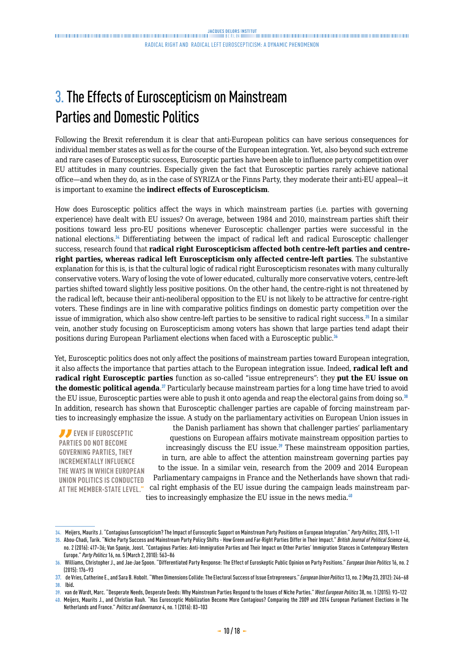# <span id="page-9-0"></span>3. The Effects of Euroscepticism on Mainstream Parties and Domestic Politics

Following the Brexit referendum it is clear that anti-European politics can have serious consequences for individual member states as well as for the course of the European integration. Yet, also beyond such extreme and rare cases of Eurosceptic success, Eurosceptic parties have been able to influence party competition over EU attitudes in many countries. Especially given the fact that Eurosceptic parties rarely achieve national office—and when they do, as in the case of SYRIZA or the Finns Party, they moderate their anti-EU appeal—it is important to examine the **indirect effects of Euroscepticism**.

How does Eurosceptic politics affect the ways in which mainstream parties (i.e. parties with governing experience) have dealt with EU issues? On average, between 1984 and 2010, mainstream parties shift their positions toward less pro-EU positions whenever Eurosceptic challenger parties were successful in the national elections.<sup>34</sup> Differentiating between the impact of radical left and radical Eurosceptic challenger success, research found that **radical right Euroscepticism affected both centre-left parties and centreright parties, whereas radical left Euroscepticism only affected centre-left parties**. The substantive explanation for this is, is that the cultural logic of radical right Euroscepticism resonates with many culturally conservative voters. Wary of losing the vote of lower educated, culturally more conservative voters, centre-left parties shifted toward slightly less positive positions. On the other hand, the centre-right is not threatened by the radical left, because their anti-neoliberal opposition to the EU is not likely to be attractive for centre-right voters. These findings are in line with comparative politics findings on domestic party competition over the issue of immigration, which also show centre-left parties to be sensitive to radical right success.<sup>35</sup> In a similar vein, another study focusing on Euroscepticism among voters has shown that large parties tend adapt their positions during European Parliament elections when faced with a Eurosceptic public.<sup>36</sup>

Yet, Eurosceptic politics does not only affect the positions of mainstream parties toward European integration, it also affects the importance that parties attach to the European integration issue. Indeed, **radical left and radical right Eurosceptic parties** function as so-called "issue entrepreneurs": they **put the EU issue on the domestic political agenda**. <sup>37</sup> Particularly because mainstream parties for a long time have tried to avoid the EU issue, Eurosceptic parties were able to push it onto agenda and reap the electoral gains from doing so.<sup>38</sup> In addition, research has shown that Eurosceptic challenger parties are capable of forcing mainstream parties to increasingly emphasize the issue. A study on the parliamentary activities on European Union issues in

**EVEN IF EUROSCEPTIC PARTIES DO NOT BECOME GOVERNING PARTIES, THEY INCREMENTALLY INFLUENCE THE WAYS IN WHICH EUROPEAN UNION POLITICS IS CONDUCTED AT THE MEMBER-STATE LEVEL."**

the Danish parliament has shown that challenger parties' parliamentary questions on European affairs motivate mainstream opposition parties to increasingly discuss the EU issue. $39$  These mainstream opposition parties, in turn, are able to affect the attention mainstream governing parties pay to the issue. In a similar vein, research from the 2009 and 2014 European Parliamentary campaigns in France and the Netherlands have shown that radical right emphasis of the EU issue during the campaign leads mainstream parties to increasingly emphasize the EU issue in the news media.<sup>40</sup>

**<sup>34.</sup>** Meijers, Maurits J. "Contagious Euroscepticism? The Impact of Eurosceptic Support on Mainstream Party Positions on European Integration." *Party Politics*, 2015, 1–11

**<sup>35.</sup>** Abou-Chadi, Tarik. "Niche Party Success and Mainstream Party Policy Shifts - How Green and Far-Right Parties Differ in Their Impact." *British Journal of Political Science* 46, no. 2 (2016): 417–36; Van Spanje, Joost. "Contagious Parties: Anti-Immigration Parties and Their Impact on Other Parties' Immigration Stances in Contemporary Western Europe." *Party Politics* 16, no. 5 (March 2, 2010): 563–86

**<sup>36.</sup>** Williams, Christopher J., and Jae-Jae Spoon. "Differentiated Party Response: The Effect of Euroskeptic Public Opinion on Party Positions." *European Union Politics* 16, no. 2 (2015): 176–93

**<sup>37.</sup>** de Vries, Catherine E., and Sara B. Hobolt. "When Dimensions Collide: The Electoral Success of Issue Entrepreneurs." *European Union Politics* 13, no. 2 (May 23, 2012): 246–68 **38.** Ibid.

**<sup>39.</sup>** van de Wardt, Marc. "Desperate Needs, Desperate Deeds: Why Mainstream Parties Respond to the Issues of Niche Parties." *West European Politics* 38, no. 1 (2015): 93–122

**<sup>40.</sup>** Meijers, Maurits J., and Christian Rauh. "Has Eurosceptic Mobilization Become More Contagious? Comparing the 2009 and 2014 European Parliament Elections in The Netherlands and France." *Politics and Governance* 4, no. 1 (2016): 83–103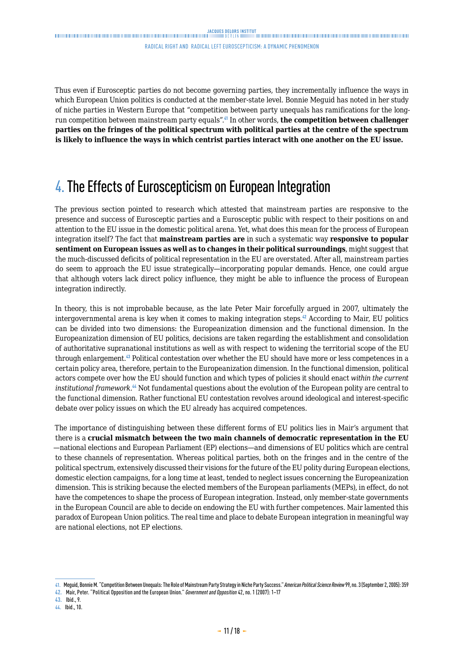<span id="page-10-0"></span>Thus even if Eurosceptic parties do not become governing parties, they incrementally influence the ways in which European Union politics is conducted at the member-state level. Bonnie Meguid has noted in her study of niche parties in Western Europe that "competition between party unequals has ramifications for the longrun competition between mainstream party equals".<sup>41</sup> In other words, **the competition between challenger parties on the fringes of the political spectrum with political parties at the centre of the spectrum is likely to influence the ways in which centrist parties interact with one another on the EU issue.**

# 4. The Effects of Euroscepticism on European Integration

The previous section pointed to research which attested that mainstream parties are responsive to the presence and success of Eurosceptic parties and a Eurosceptic public with respect to their positions on and attention to the EU issue in the domestic political arena. Yet, what does this mean for the process of European integration itself? The fact that **mainstream parties are** in such a systematic way **responsive to popular sentiment on European issues as well as to changes in their political surroundings**, might suggest that the much-discussed deficits of political representation in the EU are overstated. After all, mainstream parties do seem to approach the EU issue strategically—incorporating popular demands. Hence, one could argue that although voters lack direct policy influence, they might be able to influence the process of European integration indirectly.

In theory, this is not improbable because, as the late Peter Mair forcefully argued in 2007, ultimately the intergovernmental arena is key when it comes to making integration steps.<sup> $\ell$ 2</sup> According to Mair, EU politics can be divided into two dimensions: the Europeanization dimension and the functional dimension. In the Europeanization dimension of EU politics, decisions are taken regarding the establishment and consolidation of authoritative supranational institutions as well as with respect to widening the territorial scope of the EU through enlargement.<sup>43</sup> Political contestation over whether the EU should have more or less competences in a certain policy area, therefore, pertain to the Europeanization dimension. In the functional dimension, political actors compete over how the EU should function and which types of policies it should enact *within the current institutional framework*. <sup>44</sup> Not fundamental questions about the evolution of the European polity are central to the functional dimension. Rather functional EU contestation revolves around ideological and interest-specific debate over policy issues on which the EU already has acquired competences.

The importance of distinguishing between these different forms of EU politics lies in Mair's argument that there is a **crucial mismatch between the two main channels of democratic representation in the EU**  —national elections and European Parliament (EP) elections—and dimensions of EU politics which are central to these channels of representation. Whereas political parties, both on the fringes and in the centre of the political spectrum, extensively discussed their visions for the future of the EU polity during European elections, domestic election campaigns, for a long time at least, tended to neglect issues concerning the Europeanization dimension. This is striking because the elected members of the European parliaments (MEPs), in effect, do not have the competences to shape the process of European integration. Instead, only member-state governments in the European Council are able to decide on endowing the EU with further competences. Mair lamented this paradox of European Union politics. The real time and place to debate European integration in meaningful way are national elections, not EP elections.

**<sup>41.</sup>** Meguid, Bonnie M. "Competition Between Unequals: The Role of Mainstream Party Strategy in Niche Party Success." *American Political Science Review* 99, no. 3 (September 2, 2005): 359

**<sup>42.</sup>** Mair, Peter. "Political Opposition and the European Union." *Government and Opposition* 42, no. 1 (2007): 1–17

**<sup>43.</sup>** Ibid., 9.

**<sup>44.</sup>** Ibid., 10.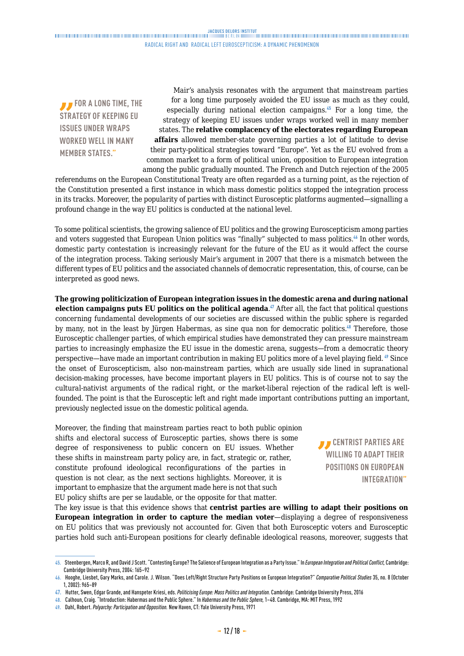**FOR A LONG TIME, THE STRATEGY OF KEEPING EU ISSUES UNDER WRAPS WORKED WELL IN MANY MEMBER STATES."**

Mair's analysis resonates with the argument that mainstream parties for a long time purposely avoided the EU issue as much as they could, especially during national election campaigns.<sup>45</sup> For a long time, the strategy of keeping EU issues under wraps worked well in many member states. The **relative complacency of the electorates regarding European affairs** allowed member-state governing parties a lot of latitude to devise their party-political strategies toward "Europe". Yet as the EU evolved from a common market to a form of political union, opposition to European integration among the public gradually mounted. The French and Dutch rejection of the 2005

referendums on the European Constitutional Treaty are often regarded as a turning point, as the rejection of the Constitution presented a first instance in which mass domestic politics stopped the integration process in its tracks. Moreover, the popularity of parties with distinct Eurosceptic platforms augmented—signalling a profound change in the way EU politics is conducted at the national level.

To some political scientists, the growing salience of EU politics and the growing Euroscepticism among parties and voters suggested that European Union politics was "finally" subjected to mass politics.<sup>46</sup> In other words, domestic party contestation is increasingly relevant for the future of the EU as it would affect the course of the integration process. Taking seriously Mair's argument in 2007 that there is a mismatch between the different types of EU politics and the associated channels of democratic representation, this, of course, can be interpreted as good news.

**The growing politicization of European integration issues in the domestic arena and during national election campaigns puts EU politics on the political agenda**. <sup>47</sup> After all, the fact that political questions concerning fundamental developments of our societies are discussed within the public sphere is regarded by many, not in the least by Jürgen Habermas, as sine qua non for democratic politics.<sup>48</sup> Therefore, those Eurosceptic challenger parties, of which empirical studies have demonstrated they can pressure mainstream parties to increasingly emphasize the EU issue in the domestic arena, suggests—from a democratic theory perspective—have made an important contribution in making EU politics more of a level playing field. <sup>49</sup> Since the onset of Euroscepticism, also non-mainstream parties, which are usually side lined in supranational decision-making processes, have become important players in EU politics. This is of course not to say the cultural-nativist arguments of the radical right, or the market-liberal rejection of the radical left is wellfounded. The point is that the Eurosceptic left and right made important contributions putting an important, previously neglected issue on the domestic political agenda.

Moreover, the finding that mainstream parties react to both public opinion shifts and electoral success of Eurosceptic parties, shows there is some degree of responsiveness to public concern on EU issues. Whether these shifts in mainstream party policy are, in fact, strategic or, rather, constitute profound ideological reconfigurations of the parties in question is not clear, as the next sections highlights. Moreover, it is important to emphasize that the argument made here is not that such EU policy shifts are per se laudable, or the opposite for that matter.

*B* CENTRIST PARTIES ARE **WILLING TO ADAPT THEIR POSITIONS ON EUROPEAN INTEGRATION"**

The key issue is that this evidence shows that **centrist parties are willing to adapt their positions on European integration in order to capture the median voter**—displaying a degree of responsiveness on EU politics that was previously not accounted for. Given that both Eurosceptic voters and Eurosceptic parties hold such anti-European positions for clearly definable ideological reasons, moreover, suggests that

**<sup>45.</sup>** Steenbergen, Marco R, and David J Scott. "Contesting Europe? The Salience of European Integration as a Party Issue." In *European Integration and Political Conflict,* Cambridge: Cambridge University Press, 2004: 165–92

**<sup>46.</sup>** Hooghe, Liesbet, Gary Marks, and Carole. J. Wilson. "Does Left/Right Structure Party Positions on European Integration?" *Comparative Political Studies* 35, no. 8 (October 1, 2002): 965–89

**<sup>47.</sup>** Hutter, Swen, Edgar Grande, and Hanspeter Kriesi, eds. *Politicising Europe: Mass Politics and Integration.* Cambridge: Cambridge University Press, 2016

**<sup>48.</sup>** Calhoun, Craig. "Introduction: Habermas and the Public Sphere." In *Habermas and the Public Sphere,* 1–48. Cambridge, MA: MIT Press, 1992

**<sup>49.</sup>** Dahl, Robert. *Polyarchy: Participation and Opposition.* New Haven, CT: Yale University Press, 1971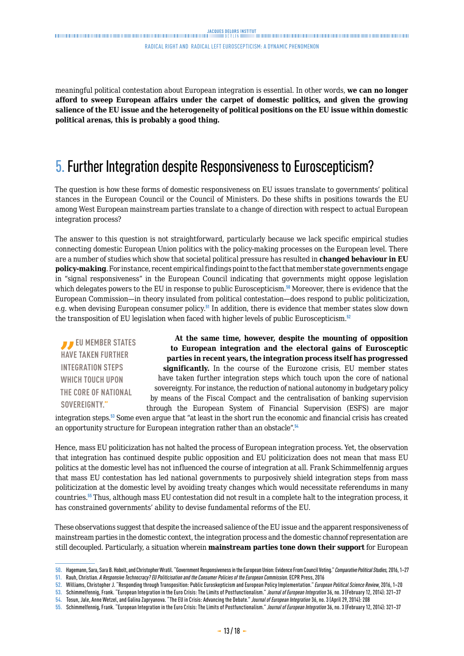<span id="page-12-0"></span>meaningful political contestation about European integration is essential. In other words, **we can no longer afford to sweep European affairs under the carpet of domestic politics, and given the growing salience of the EU issue and the heterogeneity of political positions on the EU issue within domestic political arenas, this is probably a good thing.**

# 5. Further Integration despite Responsiveness to Euroscepticism?

The question is how these forms of domestic responsiveness on EU issues translate to governments' political stances in the European Council or the Council of Ministers. Do these shifts in positions towards the EU among West European mainstream parties translate to a change of direction with respect to actual European integration process?

The answer to this question is not straightforward, particularly because we lack specific empirical studies connecting domestic European Union politics with the policy-making processes on the European level. There are a number of studies which show that societal political pressure has resulted in **changed behaviour in EU policy-making**. For instance, recent empirical findings point to the fact that member state governments engage in "signal responsiveness" in the European Council indicating that governments might oppose legislation which delegates powers to the EU in response to public Euroscepticism.<sup>50</sup> Moreover, there is evidence that the European Commission—in theory insulated from political contestation—does respond to public politicization, e.g. when devising European consumer policy.<sup>51</sup> In addition, there is evidence that member states slow down the transposition of EU legislation when faced with higher levels of public Euroscepticism.<sup>52</sup>

*EU MEMBER STATES* **HAVE TAKEN FURTHER INTEGRATION STEPS WHICH TOUCH UPON THE CORE OF NATIONAL SOVEREIGNTY."**

**At the same time, however, despite the mounting of opposition to European integration and the electoral gains of Eurosceptic parties in recent years, the integration process itself has progressed significantly.** In the course of the Eurozone crisis, EU member states have taken further integration steps which touch upon the core of national sovereignty. For instance, the reduction of national autonomy in budgetary policy by means of the Fiscal Compact and the centralisation of banking supervision

through the European System of Financial Supervision (ESFS) are major integration steps.<sup>53</sup> Some even argue that "at least in the short run the economic and financial crisis has created an opportunity structure for European integration rather than an obstacle".<sup>54</sup>

Hence, mass EU politicization has not halted the process of European integration process. Yet, the observation that integration has continued despite public opposition and EU politicization does not mean that mass EU politics at the domestic level has not influenced the course of integration at all. Frank Schimmelfennig argues that mass EU contestation has led national governments to purposively shield integration steps from mass politicization at the domestic level by avoiding treaty changes which would necessitate referendums in many countries.<sup>55</sup> Thus, although mass EU contestation did not result in a complete halt to the integration process, it has constrained governments' ability to devise fundamental reforms of the EU.

These observations suggest that despite the increased salience of the EU issue and the apparent responsiveness of mainstream parties in the domestic context, the integration process and the domestic channof representation are still decoupled. Particularly, a situation wherein **mainstream parties tone down their support** for European

**<sup>50.</sup>** Hagemann, Sara, Sara B. Hobolt, and Christopher Wratil. "Government Responsiveness in the European Union: Evidence From Council Voting." *Comparative Political Studies,* 2016, 1–27

**<sup>51.</sup>** Rauh, Christian. *A Responsive Technocracy? EU Politicisation and the Consumer Policies of the European Commission*. ECPR Press, 2016

**<sup>52.</sup>** Williams, Christopher J. "Responding through Transposition: Public Euroskepticism and European Policy Implementation." *European Political Science Review*, 2016, 1–20

**<sup>53.</sup>** Schimmelfennig, Frank. "European Integration in the Euro Crisis: The Limits of Postfunctionalism." *Journal of European Integration* 36, no. 3 (February 12, 2014): 321–37

**<sup>54.</sup>** Tosun, Jale, Anne Wetzel, and Galina Zapryanova. "The EU in Crisis: Advancing the Debate." *Journal of European Integration* 36, no. 3 (April 29, 2014): 208

**<sup>55.</sup>** Schimmelfennig, Frank. "European Integration in the Euro Crisis: The Limits of Postfunctionalism." *Journal of European Integration* 36, no. 3 (February 12, 2014): 321–37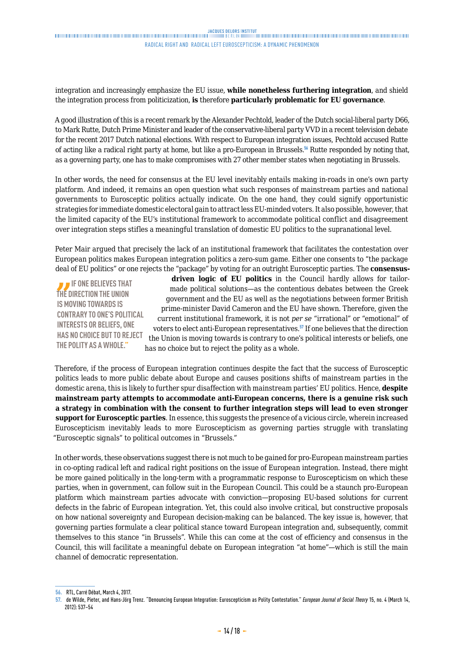integration and increasingly emphasize the EU issue, **while nonetheless furthering integration**, and shield the integration process from politicization, **is** therefore **particularly problematic for EU governance**.

A good illustration of this is a recent remark by the Alexander Pechtold, leader of the Dutch social-liberal party D66, to Mark Rutte, Dutch Prime Minister and leader of the conservative-liberal party VVD in a recent television debate for the recent 2017 Dutch national elections. With respect to European integration issues, Pechtold accused Rutte of acting like a radical right party at home, but like a pro-European in Brussels.<sup>56</sup> Rutte responded by noting that, as a governing party, one has to make compromises with 27 other member states when negotiating in Brussels.

In other words, the need for consensus at the EU level inevitably entails making in-roads in one's own party platform. And indeed, it remains an open question what such responses of mainstream parties and national governments to Eurosceptic politics actually indicate. On the one hand, they could signify opportunistic strategies for immediate domestic electoral gain to attract less EU-minded voters. It also possible, however, that the limited capacity of the EU's institutional framework to accommodate political conflict and disagreement over integration steps stifles a meaningful translation of domestic EU politics to the supranational level.

Peter Mair argued that precisely the lack of an institutional framework that facilitates the contestation over European politics makes European integration politics a zero-sum game. Either one consents to "the package deal of EU politics" or one rejects the "package" by voting for an outright Eurosceptic parties. The **consensus-**

**IF ONE BELIEVES THAT THE DIRECTION THE UNION IS MOVING TOWARDS IS CONTRARY TO ONE'S POLITICAL INTERESTS OR BELIEFS, ONE HAS NO CHOICE BUT TO REJECT THE POLITY AS A WHOLE."**

**driven logic of EU politics** in the Council hardly allows for tailormade political solutions—as the contentious debates between the Greek government and the EU as well as the negotiations between former British prime-minister David Cameron and the EU have shown. Therefore, given the current institutional framework, it is not *per se* "irrational" or "emotional" of voters to elect anti-European representatives.<sup>57</sup> If one believes that the direction the Union is moving towards is contrary to one's political interests or beliefs, one has no choice but to reject the polity as a whole.

Therefore, if the process of European integration continues despite the fact that the success of Eurosceptic politics leads to more public debate about Europe and causes positions shifts of mainstream parties in the domestic arena, this is likely to further spur disaffection with mainstream parties' EU politics. Hence, **despite mainstream party attempts to accommodate anti-European concerns, there is a genuine risk such a strategy in combination with the consent to further integration steps will lead to even stronger support for Eurosceptic parties**. In essence, this suggests the presence of a vicious circle, wherein increased Euroscepticism inevitably leads to more Euroscepticism as governing parties struggle with translating "Eurosceptic signals" to political outcomes in "Brussels."

In other words, these observations suggest there is not much to be gained for pro-European mainstream parties in co-opting radical left and radical right positions on the issue of European integration. Instead, there might be more gained politically in the long-term with a programmatic response to Euroscepticism on which these parties, when in government, can follow suit in the European Council. This could be a staunch pro-European platform which mainstream parties advocate with conviction—proposing EU-based solutions for current defects in the fabric of European integration. Yet, this could also involve critical, but constructive proposals on how national sovereignty and European decision-making can be balanced. The key issue is, however, that governing parties formulate a clear political stance toward European integration and, subsequently, commit themselves to this stance "in Brussels". While this can come at the cost of efficiency and consensus in the Council, this will facilitate a meaningful debate on European integration "at home"—which is still the main channel of democratic representation.

**<sup>56.</sup>** RTL, Carré Débat, March 4, 2017.

**<sup>57.</sup>** de Wilde, Pieter, and Hans-Jörg Trenz. "Denouncing European Integration: Euroscepticism as Polity Contestation." *European Journal of Social Theory* 15, no. 4 (March 14, 2012): 537–54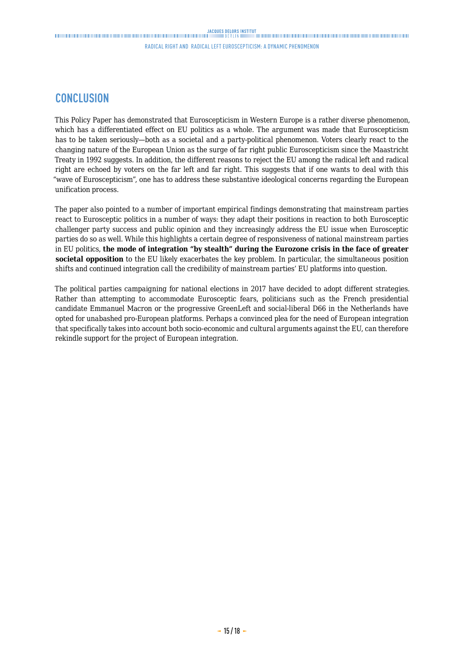## **CONCLUSION**

This Policy Paper has demonstrated that Euroscepticism in Western Europe is a rather diverse phenomenon, which has a differentiated effect on EU politics as a whole. The argument was made that Euroscepticism has to be taken seriously—both as a societal and a party-political phenomenon. Voters clearly react to the changing nature of the European Union as the surge of far right public Euroscepticism since the Maastricht Treaty in 1992 suggests. In addition, the different reasons to reject the EU among the radical left and radical right are echoed by voters on the far left and far right. This suggests that if one wants to deal with this "wave of Euroscepticism", one has to address these substantive ideological concerns regarding the European unification process.

The paper also pointed to a number of important empirical findings demonstrating that mainstream parties react to Eurosceptic politics in a number of ways: they adapt their positions in reaction to both Eurosceptic challenger party success and public opinion and they increasingly address the EU issue when Eurosceptic parties do so as well. While this highlights a certain degree of responsiveness of national mainstream parties in EU politics, **the mode of integration "by stealth" during the Eurozone crisis in the face of greater societal opposition** to the EU likely exacerbates the key problem. In particular, the simultaneous position shifts and continued integration call the credibility of mainstream parties' EU platforms into question.

The political parties campaigning for national elections in 2017 have decided to adopt different strategies. Rather than attempting to accommodate Eurosceptic fears, politicians such as the French presidential candidate Emmanuel Macron or the progressive GreenLeft and social-liberal D66 in the Netherlands have opted for unabashed pro-European platforms. Perhaps a convinced plea for the need of European integration that specifically takes into account both socio-economic and cultural arguments against the EU, can therefore rekindle support for the project of European integration.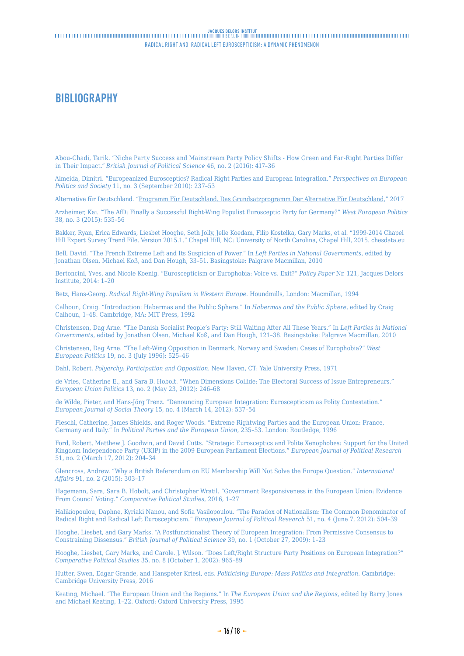# <span id="page-15-0"></span>**BIBLIOGRAPHY**

Abou-Chadi, Tarik. "Niche Party Success and Mainstream Party Policy Shifts - How Green and Far-Right Parties Differ in Their Impact." *British Journal of Political Science* 46, no. 2 (2016): 417–36

Almeida, Dimitri. "Europeanized Eurosceptics? Radical Right Parties and European Integration." *Perspectives on European Politics and Society* 11, no. 3 (September 2010): 237–53

Alternative für Deutschland. ["Programm Für Deutschland. Das Grundsatzprogramm Der Alternative Für Deutschland](https://www.alternativefuer.de/wp-content/uploads/sites/111/2017/01/2016-06-27_afd-grundsatzprogramm_web-version.pdf.)," 2017

Arzheimer, Kai. "The AfD: Finally a Successful Right-Wing Populist Eurosceptic Party for Germany?" *West European Politics* 38, no. 3 (2015): 535–56

Bakker, Ryan, Erica Edwards, Liesbet Hooghe, Seth Jolly, Jelle Koedam, Filip Kostelka, Gary Marks, et al. "1999-2014 Chapel Hill Expert Survey Trend File. Version 2015.1." Chapel Hill, NC: University of North Carolina, Chapel Hill, 2015. chesdata.eu

Bell, David. "The French Extreme Left and Its Suspicion of Power." In *Left Parties in National Governments*, edited by Jonathan Olsen, Michael Koß, and Dan Hough, 33–51. Basingstoke: Palgrave Macmillan, 2010

Bertoncini, Yves, and Nicole Koenig. "Euroscepticism or Europhobia: Voice vs. Exit?" *Policy Paper* Nr. 121, Jacques Delors Institute, 2014: 1–20

Betz, Hans-Georg. *Radical Right-Wing Populism in Western Europe*. Houndmills, London: Macmillan, 1994

Calhoun, Craig. "Introduction: Habermas and the Public Sphere." In *Habermas and the Public Sphere*, edited by Craig Calhoun, 1–48. Cambridge, MA: MIT Press, 1992

Christensen, Dag Arne. "The Danish Socialist People's Party: Still Waiting After All These Years." In *Left Parties in National Governments*, edited by Jonathan Olsen, Michael Koß, and Dan Hough, 121–38. Basingstoke: Palgrave Macmillan, 2010

Christensen, Dag Arne. "The Left-Wing Opposition in Denmark, Norway and Sweden: Cases of Europhobia?" *West European Politics* 19, no. 3 (July 1996): 525–46

Dahl, Robert. *Polyarchy: Participation and Opposition*. New Haven, CT: Yale University Press, 1971

de Vries, Catherine E., and Sara B. Hobolt. "When Dimensions Collide: The Electoral Success of Issue Entrepreneurs." *European Union Politics* 13, no. 2 (May 23, 2012): 246–68

de Wilde, Pieter, and Hans-Jörg Trenz. "Denouncing European Integration: Euroscepticism as Polity Contestation." *European Journal of Social Theory* 15, no. 4 (March 14, 2012): 537–54

Fieschi, Catherine, James Shields, and Roger Woods. "Extreme Rightwing Parties and the European Union: France, Germany and Italy." In *Political Parties and the European Union*, 235–53. London: Routledge, 1996

Ford, Robert, Matthew J. Goodwin, and David Cutts. "Strategic Eurosceptics and Polite Xenophobes: Support for the United Kingdom Independence Party (UKIP) in the 2009 European Parliament Elections." *European Journal of Political Research* 51, no. 2 (March 17, 2012): 204–34

Glencross, Andrew. "Why a British Referendum on EU Membership Will Not Solve the Europe Question." *International Affairs* 91, no. 2 (2015): 303–17

Hagemann, Sara, Sara B. Hobolt, and Christopher Wratil. "Government Responsiveness in the European Union: Evidence From Council Voting." *Comparative Political Studies*, 2016, 1–27

Halikiopoulou, Daphne, Kyriaki Nanou, and Sofia Vasilopoulou. "The Paradox of Nationalism: The Common Denominator of Radical Right and Radical Left Euroscepticism." *European Journal of Political Research* 51, no. 4 (June 7, 2012): 504–39

Hooghe, Liesbet, and Gary Marks. "A Postfunctionalist Theory of European Integration: From Permissive Consensus to Constraining Dissensus." *British Journal of Political Science* 39, no. 1 (October 27, 2009): 1–23

Hooghe, Liesbet, Gary Marks, and Carole. J. Wilson. "Does Left/Right Structure Party Positions on European Integration?" *Comparative Political Studies* 35, no. 8 (October 1, 2002): 965–89

Hutter, Swen, Edgar Grande, and Hanspeter Kriesi, eds. *Politicising Europe: Mass Politics and Integration*. Cambridge: Cambridge University Press, 2016

Keating, Michael. "The European Union and the Regions." In *The European Union and the Regions*, edited by Barry Jones and Michael Keating, 1–22. Oxford: Oxford University Press, 1995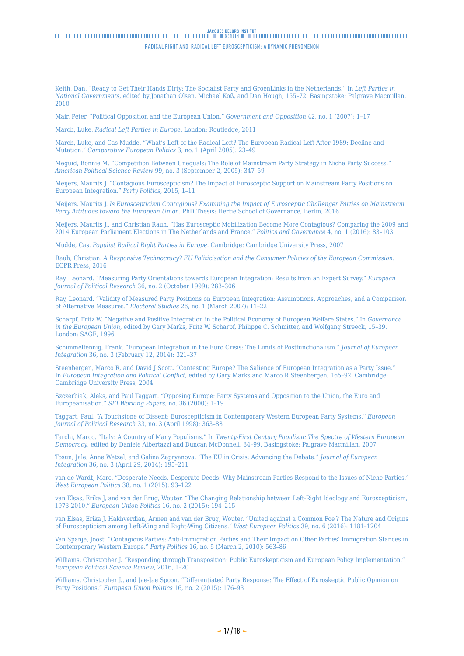## <span id="page-16-0"></span>

#### RADICAL RIGHT AND RADICAL LEFT EUROSCEPTICISM: a dynamic phenomenon

Keith, Dan. "Ready to Get Their Hands Dirty: The Socialist Party and GroenLinks in the Netherlands." In *Left Parties in National Governments*, edited by Jonathan Olsen, Michael Koß, and Dan Hough, 155–72. Basingstoke: Palgrave Macmillan, 2010

Mair, Peter. "Political Opposition and the European Union." *Government and Opposition* 42, no. 1 (2007): 1–17

March, Luke. *Radical Left Parties in Europe*. London: Routledge, 2011

March, Luke, and Cas Mudde. "What's Left of the Radical Left? The European Radical Left After 1989: Decline and Mutation." *Comparative European Politics* 3, no. 1 (April 2005): 23–49

Meguid, Bonnie M. "Competition Between Unequals: The Role of Mainstream Party Strategy in Niche Party Success." *American Political Science Review* 99, no. 3 (September 2, 2005): 347–59

Meijers, Maurits J. "Contagious Euroscepticism? The Impact of Eurosceptic Support on Mainstream Party Positions on European Integration." *Party Politics*, 2015, 1–11

Meijers, Maurits J. *Is Euroscepticism Contagious? Examining the Impact of Eurosceptic Challenger Parties on Mainstream Party Attitudes toward the European Union*. PhD Thesis: Hertie School of Governance, Berlin, 2016

Meijers, Maurits J., and Christian Rauh. "Has Eurosceptic Mobilization Become More Contagious? Comparing the 2009 and 2014 European Parliament Elections in The Netherlands and France." *Politics and Governance* 4, no. 1 (2016): 83–103

Mudde, Cas. *Populist Radical Right Parties in Europe*. Cambridge: Cambridge University Press, 2007

Rauh, Christian. *A Responsive Technocracy? EU Politicisation and the Consumer Policies of the European Commission*. ECPR Press, 2016

Ray, Leonard. "Measuring Party Orientations towards European Integration: Results from an Expert Survey." *European Journal of Political Research* 36, no. 2 (October 1999): 283–306

Ray, Leonard. "Validity of Measured Party Positions on European Integration: Assumptions, Approaches, and a Comparison of Alternative Measures." *Electoral Studies* 26, no. 1 (March 2007): 11–22

Scharpf, Fritz W. "Negative and Positive Integration in the Political Economy of European Welfare States." In *Governance in the European Union*, edited by Gary Marks, Fritz W. Scharpf, Philippe C. Schmitter, and Wolfgang Streeck, 15–39. London: SAGE, 1996

Schimmelfennig, Frank. "European Integration in the Euro Crisis: The Limits of Postfunctionalism." *Journal of European Integration* 36, no. 3 (February 12, 2014): 321–37

Steenbergen, Marco R, and David J Scott. "Contesting Europe? The Salience of European Integration as a Party Issue." In *European Integration and Political Conflict*, edited by Gary Marks and Marco R Steenbergen, 165–92. Cambridge: Cambridge University Press, 2004

Szczerbiak, Aleks, and Paul Taggart. "Opposing Europe: Party Systems and Opposition to the Union, the Euro and Europeanisation." *SEI Working Papers*, no. 36 (2000): 1–19

Taggart, Paul. "A Touchstone of Dissent: Euroscepticism in Contemporary Western European Party Systems." *European Journal of Political Research* 33, no. 3 (April 1998): 363–88

Tarchi, Marco. "Italy: A Country of Many Populisms." In *Twenty-First Century Populism: The Spectre of Western European Democracy*, edited by Daniele Albertazzi and Duncan McDonnell, 84–99. Basingstoke: Palgrave Macmillan, 2007

Tosun, Jale, Anne Wetzel, and Galina Zapryanova. "The EU in Crisis: Advancing the Debate." *Journal of European Integration* 36, no. 3 (April 29, 2014): 195–211

van de Wardt, Marc. "Desperate Needs, Desperate Deeds: Why Mainstream Parties Respond to the Issues of Niche Parties." *West European Politics* 38, no. 1 (2015): 93–122

van Elsas, Erika J, and van der Brug, Wouter. "The Changing Relationship between Left-Right Ideology and Euroscepticism, 1973-2010." *European Union Politics* 16, no. 2 (2015): 194–215

van Elsas, Erika J, Hakhverdian, Armen and van der Brug, Wouter. "United against a Common Foe ? The Nature and Origins of Euroscepticism among Left-Wing and Right-Wing Citizens." *West European Politics* 39, no. 6 (2016): 1181–1204

Van Spanje, Joost. "Contagious Parties: Anti-Immigration Parties and Their Impact on Other Parties' Immigration Stances in Contemporary Western Europe." *Party Politics* 16, no. 5 (March 2, 2010): 563–86

Williams, Christopher J. "Responding through Transposition: Public Euroskepticism and European Policy Implementation." *European Political Science Review*, 2016, 1–20

Williams, Christopher J., and Jae-Jae Spoon. "Differentiated Party Response: The Effect of Euroskeptic Public Opinion on Party Positions." *European Union Politics* 16, no. 2 (2015): 176–93